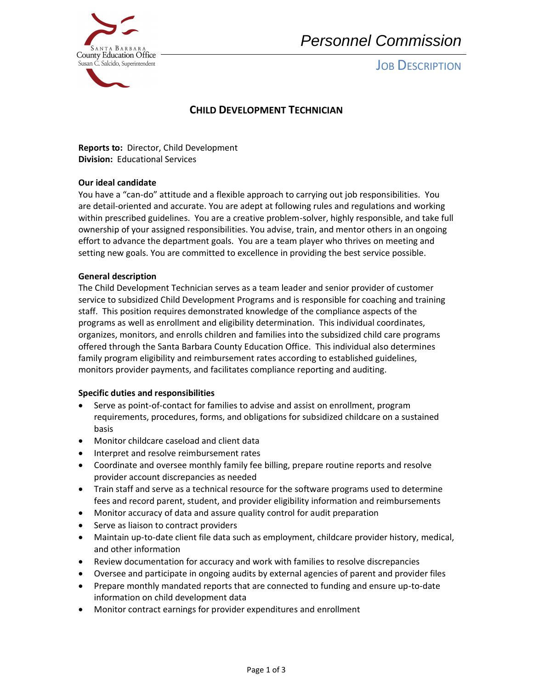

# *Personnel Commission*

## **JOB DESCRIPTION**

## **CHILD DEVELOPMENT TECHNICIAN**

 **Reports to:** Director, Child Development  **Division:** Educational Services

#### **Our ideal candidate**

 within prescribed guidelines. You are a creative problem-solver, highly responsible, and take full You have a "can-do" attitude and a flexible approach to carrying out job responsibilities. You are detail-oriented and accurate. You are adept at following rules and regulations and working ownership of your assigned responsibilities. You advise, train, and mentor others in an ongoing effort to advance the department goals. You are a team player who thrives on meeting and setting new goals. You are committed to excellence in providing the best service possible.

#### **General description**

 programs as well as enrollment and eligibility determination. This individual coordinates, The Child Development Technician serves as a team leader and senior provider of customer service to subsidized Child Development Programs and is responsible for coaching and training staff. This position requires demonstrated knowledge of the compliance aspects of the organizes, monitors, and enrolls children and families into the subsidized child care programs offered through the Santa Barbara County Education Office. This individual also determines family program eligibility and reimbursement rates according to established guidelines, monitors provider payments, and facilitates compliance reporting and auditing.

#### **Specific duties and responsibilities**

- Serve as point-of-contact for families to advise and assist on enrollment, program requirements, procedures, forms, and obligations for subsidized childcare on a sustained basis
- Monitor childcare caseload and client data
- Interpret and resolve reimbursement rates
- Coordinate and oversee monthly family fee billing, prepare routine reports and resolve provider account discrepancies as needed
- Train staff and serve as a technical resource for the software programs used to determine fees and record parent, student, and provider eligibility information and reimbursements
- Monitor accuracy of data and assure quality control for audit preparation
- Serve as liaison to contract providers
- Maintain up-to-date client file data such as employment, childcare provider history, medical, and other information
- Review documentation for accuracy and work with families to resolve discrepancies
- Oversee and participate in ongoing audits by external agencies of parent and provider files
- Prepare monthly mandated reports that are connected to funding and ensure up-to-date information on child development data
- Monitor contract earnings for provider expenditures and enrollment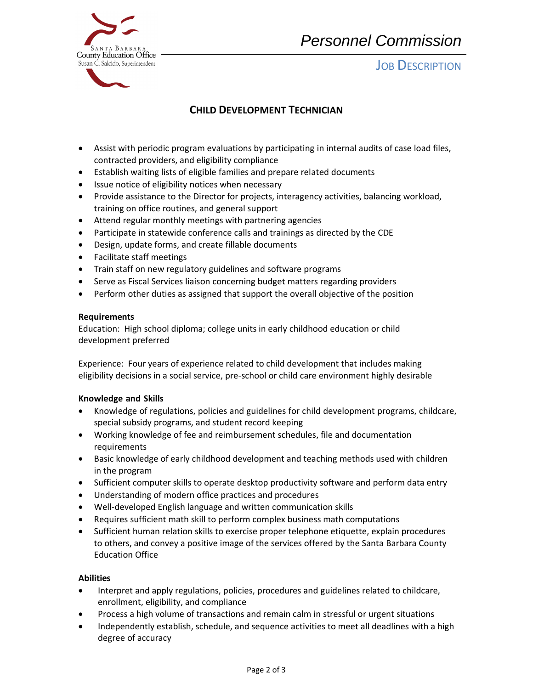



**JOB DESCRIPTION** 

## **CHILD DEVELOPMENT TECHNICIAN**

- Assist with periodic program evaluations by participating in internal audits of case load files, contracted providers, and eligibility compliance
- Establish waiting lists of eligible families and prepare related documents
- Issue notice of eligibility notices when necessary
- Provide assistance to the Director for projects, interagency activities, balancing workload, training on office routines, and general support
- Attend regular monthly meetings with partnering agencies
- Participate in statewide conference calls and trainings as directed by the CDE
- Design, update forms, and create fillable documents
- Facilitate staff meetings
- Train staff on new regulatory guidelines and software programs
- Serve as Fiscal Services liaison concerning budget matters regarding providers
- Perform other duties as assigned that support the overall objective of the position

#### **Requirements**

Education: High school diploma; college units in early childhood education or child development preferred

 Experience: Four years of experience related to child development that includes making eligibility decisions in a social service, pre-school or child care environment highly desirable

### **Knowledge and Skills**

- • Knowledge of regulations, policies and guidelines for child development programs, childcare, special subsidy programs, and student record keeping
- Working knowledge of fee and reimbursement schedules, file and documentation requirements
- Basic knowledge of early childhood development and teaching methods used with children in the program
- Sufficient computer skills to operate desktop productivity software and perform data entry
- Understanding of modern office practices and procedures
- Well-developed English language and written communication skills
- Requires sufficient math skill to perform complex business math computations
- Sufficient human relation skills to exercise proper telephone etiquette, explain procedures to others, and convey a positive image of the services offered by the Santa Barbara County Education Office

### **Abilities**

- Interpret and apply regulations, policies, procedures and guidelines related to childcare, enrollment, eligibility, and compliance
- Process a high volume of transactions and remain calm in stressful or urgent situations
- Independently establish, schedule, and sequence activities to meet all deadlines with a high degree of accuracy